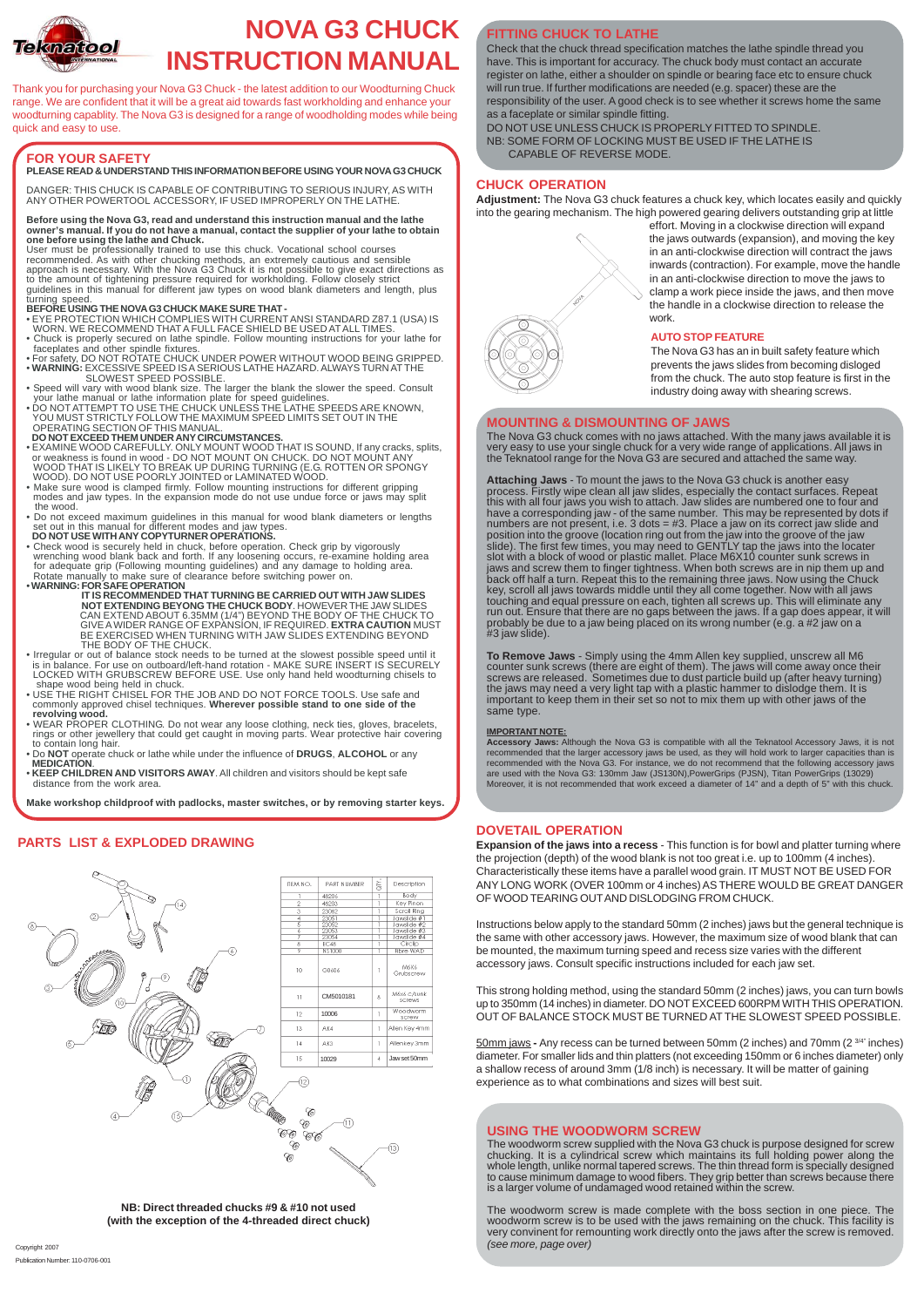## **FOR YOUR SAFETY**

### **PLEASE READ & UNDERSTAND THIS INFORMATION BEFORE USING YOUR NOVA G3 CHUCK**

DANGER: THIS CHUCK IS CAPABLE OF CONTRIBUTING TO SERIOUS INJURY, AS WITH ANY OTHER POWERTOOL ACCESSORY, IF USED IMPROPERLY ON THE LATHE.

#### **Before using the Nova G3, read and understand this instruction manual and the lathe owner's manual. If you do not have a manual, contact the supplier of your lathe to obtain one before using the lathe and Chuck.**

User must be professionally trained to use this chuck. Vocational school courses recommended. As with other chucking methods, an extremely cautious and sensible approach is necessary. With the Nova G3 Chuck it is not possible to give exact directions as to the amount of tightening pressure required for workholding. Follow closely strict guidelines in this manual for different jaw types on wood blank diameters and length, plus turning speed.

#### **BEFORE USING THE NOVA G3 CHUCK MAKE SURE THAT -**

• EYE PROTECTION WHICH COMPLIES WITH CURRENT ANSI STANDARD Z87.1 (USA) IS

- WORN. WE RECOMMEND THAT A FULL FACE SHIELD BE USED AT ALL TIMES. • Chuck is properly secured on lathe spindle. Follow mounting instructions for your lathe for faceplates and other spindle fixtures.
- For safety, DO NOT ROTATE CHUCK UNDER POWER WITHOUT WOOD BEING GRIPPED. • **WARNING:** EXCESSIVE SPEED IS A SERIOUS LATHE HAZARD. ALWAYS TURN AT THE
- SLOWEST SPEED POSSIBLE.
- Speed will vary with wood blank size. The larger the blank the slower the speed. Consult your lathe manual or lathe information plate for speed guidelines.
- DO NOT ATTEMPT TO USE THE CHUCK UNLESS THE LATHE SPEEDS ARE KNOWN, YOU MUST STRICTLY FOLLOW THE MAXIMUM SPEED LIMITS SET OUT IN THE OPERATING SECTION OF THIS MANUAL.
- **DO NOT EXCEED THEM UNDER ANY CIRCUMSTANCES.**
- EXAMINE WOOD CAREFULLY. ONLY MOUNT WOOD THAT IS SOUND, If any cracks, splits, or weakness is found in wood - DO NOT MOUNT ON CHUCK. DO NOT MOUNT ANY WOOD THAT IS LIKELY TO BREAK UP DURING TURNING (E.G. ROTTEN OR SPONGY WOOD). DO NOT USE POORLY JOINTED or LAMINATED WOOD.
- Make sure wood is clamped firmly. Follow mounting instructions for different gripping modes and jaw types. In the expansion mode do not use undue force or jaws may split the wood.
- Do not exceed maximum guidelines in this manual for wood blank diameters or lengths set out in this manual for different modes and jaw types.
- **DO NOT USE WITH ANY COPYTURNER OPERATIONS.**
- Check wood is securely held in chuck, before operation. Check grip by vigorously wrenching wood blank back and forth. If any loosening occurs, re-examine holding area for adequate grip (Following mounting guidelines) and any damage to holding area. Rotate manually to make sure of clearance before switching power on.
- **WARNING: FOR SAFE OPERATION**
	- **IT IS RECOMMENDED THAT TURNING BE CARRIED OUT WITH JAW SLIDES NOT EXTENDING BEYONG THE CHUCK BODY**. HOWEVER THE JAW SLIDES CAN EXTEND ABOUT 6.35MM (1/4") BEYOND THE BODY OF THE CHUCK TO GIVE A WIDER RANGE OF EXPANSION, IF REQUIRED. **EXTRA CAUTION** MUST BE EXERCISED WHEN TURNING WITH JAW SLIDES EXTENDING BEYOND THE BODY OF THE CHUCK.
- Irregular or out of balance stock needs to be turned at the slowest possible speed until it is in balance. For use on outboard/left-hand rotation - MAKE SURE INSERT IS SECURELY LOCKED WITH GRUBSCREW BEFORE USE. Use only hand held woodturning chisels to shape wood being held in chuck.
- USE THE RIGHT CHISEL FOR THE JOB AND DO NOT FORCE TOOLS. Use safe and commonly approved chisel techniques. **Wherever possible stand to one side of the revolving wood.**
- WEAR PROPER CLOTHING. Do not wear any loose clothing, neck ties, gloves, bracelets, rings or other jewellery that could get caught in moving parts. Wear protective hair covering to contain long hair.
- Do **NOT** operate chuck or lathe while under the influence of **DRUGS**, **ALCOHOL** or any **MEDICATION**.
- **KEEP CHILDREN AND VISITORS AWAY**. All children and visitors should be kept safe distance from the work area.

**Make workshop childproof with padlocks, master switches, or by removing starter keys.**

Thank you for purchasing your Nova G3 Chuck - the latest addition to our Woodturning Chuck range. We are confident that it will be a great aid towards fast workholding and enhance your woodturning capablity. The Nova G3 is designed for a range of woodholding modes while being quick and easy to use.



# **NOVA G3 CHUCK INSTRUCTION MANUAL**

### **FITTING CHUCK TO LATHE**

Check that the chuck thread specification matches the lathe spindle thread you have. This is important for accuracy. The chuck body must contact an accurate register on lathe, either a shoulder on spindle or bearing face etc to ensure chuck will run true. If further modifications are needed (e.g. spacer) these are the responsibility of the user. A good check is to see whether it screws home the same as a faceplate or similar spindle fitting.

DO NOT USE UNLESS CHUCK IS PROPERLY FITTED TO SPINDLE. NB: SOME FORM OF LOCKING MUST BE USED IF THE LATHE IS CAPABLE OF REVERSE MODE.

### **CHUCK OPERATION**

**Adjustment:** The Nova G3 chuck features a chuck key, which locates easily and quickly into the gearing mechanism. The high powered gearing delivers outstanding grip at little





### **MOUNTING & DISMOUNTING OF JAWS**

The Nova G3 chuck comes with no jaws attached. With the many jaws available it is very easy to use your single chuck for a very wide range of applications. All jaws in the Teknatool range for the Nova G3 are secured and attached the same way.

**Attaching Jaws** - To mount the jaws to the Nova G3 chuck is another easy process. Firstly wipe clean all jaw slides, especially the contact surfaces. Repeat this with all four jaws you wish to attach. Jaw slides are numbered one to four and have a corresponding jaw - of the same number. This may be represented by dots if numbers are not present, i.e. 3 dots = #3. Place a jaw on its correct jaw slide and position into the groove (location ring out from the jaw into the groove of the jaw slide). The first few times, you may need to GENTLY tap the jaws into the locater slot with a block of wood or plastic mallet. Place M6X10 counter sunk screws in jaws and screw them to finger tightness. When both screws are in nip them up and back off half a turn. Repeat this to the remaining three jaws. Now using the Chuck key, scroll all jaws towards middle until they all come together. Now with all jaws touching and equal pressure on each, tighten all screws up. This will eliminate any run out. Ensure that there are no gaps between the jaws. If a gap does appear, it will probably be due to a jaw being placed on its wrong number (e.g. a #2 jaw on a #3 jaw slide).

**To Remove Jaws** - Simply using the 4mm Allen key supplied, unscrew all M6 counter sunk screws (there are eight of them). The jaws will come away once their screws are released. Sometimes due to dust particle build up (after heavy turning) the jaws may need a very light tap with a plastic hammer to dislodge them. It is important to keep them in their set so not to mix them up with other jaws of the same type.

#### **IMPORTANT NOTE:**

**Accessory Jaws:** Although the Nova G3 is compatible with all the Teknatool Accessory Jaws, it is not recommended that the larger accessory jaws be used, as they will hold work to larger capacities than is recommended with the Nova G3. For instance, we do not recommend that the following accessory jaws are used with the Nova G3: 130mm Jaw (JS130N),PowerGrips (PJSN), Titan PowerGrips (13029) Moreover, it is not recommended that work exceed a diameter of 14" and a depth of 5" with this chuck.

### **DOVETAIL OPERATION**

**Expansion of the jaws into a recess** - This function is for bowl and platter turning where the projection (depth) of the wood blank is not too great i.e. up to 100mm (4 inches). Characteristically these items have a parallel wood grain. IT MUST NOT BE USED FOR ANY LONG WORK (OVER 100mm or 4 inches) AS THERE WOULD BE GREAT DANGER OF WOOD TEARING OUT AND DISLODGING FROM CHUCK.

Instructions below apply to the standard 50mm (2 inches) jaws but the general technique is the same with other accessory jaws. However, the maximum size of wood blank that can be mounted, the maximum turning speed and recess size varies with the different accessory jaws. Consult specific instructions included for each jaw set.

This strong holding method, using the standard 50mm (2 inches) jaws, you can turn bowls up to 350mm (14 inches) in diameter. DO NOT EXCEED 600RPM WITH THIS OPERATION. OUT OF BALANCE STOCK MUST BE TURNED AT THE SLOWEST SPEED POSSIBLE.

50mm jaws **-** Any recess can be turned between 50mm (2 inches) and 70mm (2 3/4" inches) diameter. For smaller lids and thin platters (not exceeding 150mm or 6 inches diameter) only a shallow recess of around 3mm (1/8 inch) is necessary. It will be matter of gaining experience as to what combinations and sizes will best suit.

Copyright 2007

Publication Number: 110-0706-001

### **AUTO STOP FEATURE**

The Nova G3 has an in built safety feature which prevents the jaws slides from becoming disloged from the chuck. The auto stop feature is first in the industry doing away with shearing screws.

### **PARTS LIST & EXPLODED DRAWING**

### **USING THE WOODWORM SCREW**

The woodworm screw supplied with the Nova G3 chuck is purpose designed for screw chucking. It is a cylindrical screw which maintains its full holding power along the whole length, unlike normal tapered screws. The thin thread form is specially designed to cause minimum damage to wood fibers. They grip better than screws because there is a larger volume of undamaged wood retained within the screw.

The woodworm screw is made complete with the boss section in one piece. The woodworm screw is to be used with the jaws remaining on the chuck. This facility is very convinent for remounting work directly onto the jaws after the screw is removed. *(see more, page over)*

**NB: Direct threaded chucks #9 & #10 not used (with the exception of the 4-threaded direct chuck)**